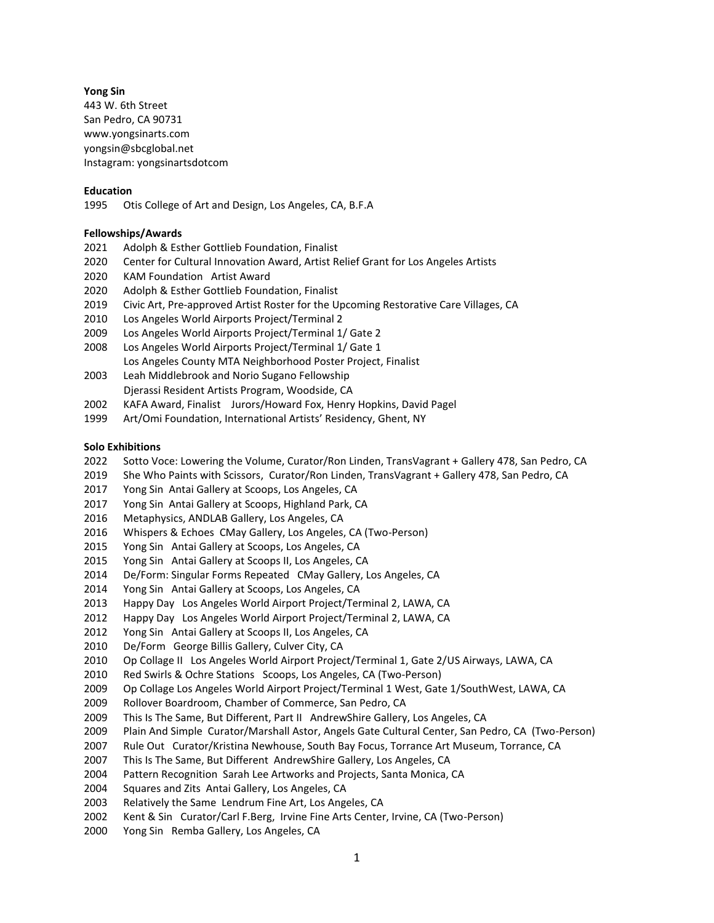# **Yong Sin**

443 W. 6th Street San Pedro, CA 90731 www.yongsinarts.com [yongsin@sbcglobal.net](mailto:yongsin@sbcglobal.net) Instagram: yongsinartsdotcom

### **Education**

1995 Otis College of Art and Design, Los Angeles, CA, B.F.A

### **Fellowships/Awards**

- 2021 Adolph & Esther Gottlieb Foundation, Finalist
- 2020 Center for Cultural Innovation Award, Artist Relief Grant for Los Angeles Artists
- 2020 KAM Foundation Artist Award
- 2020 Adolph & Esther Gottlieb Foundation, Finalist
- 2019 Civic Art, Pre-approved Artist Roster for the Upcoming Restorative Care Villages, CA
- 2010 Los Angeles World Airports Project/Terminal 2
- 2009 Los Angeles World Airports Project/Terminal 1/ Gate 2
- 2008 Los Angeles World Airports Project/Terminal 1/ Gate 1
- Los Angeles County MTA Neighborhood Poster Project, Finalist 2003 Leah Middlebrook and Norio Sugano Fellowship
- Djerassi Resident Artists Program, Woodside, CA
- 2002 KAFA Award, Finalist Jurors/Howard Fox, Henry Hopkins, David Pagel
- 1999 Art/Omi Foundation, International Artists' Residency, Ghent, NY

#### **Solo Exhibitions**

- 2022 Sotto Voce: Lowering the Volume, Curator/Ron Linden, TransVagrant + Gallery 478, San Pedro, CA
- 2019 She Who Paints with Scissors, Curator/Ron Linden, TransVagrant + Gallery 478, San Pedro, CA
- 2017 Yong Sin Antai Gallery at Scoops, Los Angeles, CA
- 2017 Yong Sin Antai Gallery at Scoops, Highland Park, CA
- 2016 Metaphysics, ANDLAB Gallery, Los Angeles, CA
- 2016 Whispers & Echoes CMay Gallery, Los Angeles, CA (Two-Person)
- 2015 Yong Sin Antai Gallery at Scoops, Los Angeles, CA
- 2015 Yong Sin Antai Gallery at Scoops II, Los Angeles, CA
- 2014 De/Form: Singular Forms Repeated CMay Gallery, Los Angeles, CA
- 2014 Yong Sin Antai Gallery at Scoops, Los Angeles, CA
- 2013 Happy Day Los Angeles World Airport Project/Terminal 2, LAWA, CA
- 2012 Happy Day Los Angeles World Airport Project/Terminal 2, LAWA, CA
- 2012 Yong Sin Antai Gallery at Scoops II, Los Angeles, CA
- 2010 De/Form George Billis Gallery, Culver City, CA
- 2010 Op Collage II Los Angeles World Airport Project/Terminal 1, Gate 2/US Airways, LAWA, CA
- 2010 Red Swirls & Ochre Stations Scoops, Los Angeles, CA (Two-Person)
- 2009 Op Collage Los Angeles World Airport Project/Terminal 1 West, Gate 1/SouthWest, LAWA, CA
- 2009 Rollover Boardroom, Chamber of Commerce, San Pedro, CA
- 2009 This Is The Same, But Different, Part II AndrewShire Gallery, Los Angeles, CA
- 2009 Plain And Simple Curator/Marshall Astor, Angels Gate Cultural Center, San Pedro, CA (Two-Person)
- 2007 Rule Out Curator/Kristina Newhouse, South Bay Focus, Torrance Art Museum, Torrance, CA
- 2007 This Is The Same, But Different AndrewShire Gallery, Los Angeles, CA
- 2004 Pattern Recognition Sarah Lee Artworks and Projects, Santa Monica, CA
- 2004 Squares and Zits Antai Gallery, Los Angeles, CA
- 2003 Relatively the Same Lendrum Fine Art, Los Angeles, CA
- 2002 Kent & Sin Curator/Carl F.Berg, Irvine Fine Arts Center, Irvine, CA (Two-Person)
- 2000 Yong Sin Remba Gallery, Los Angeles, CA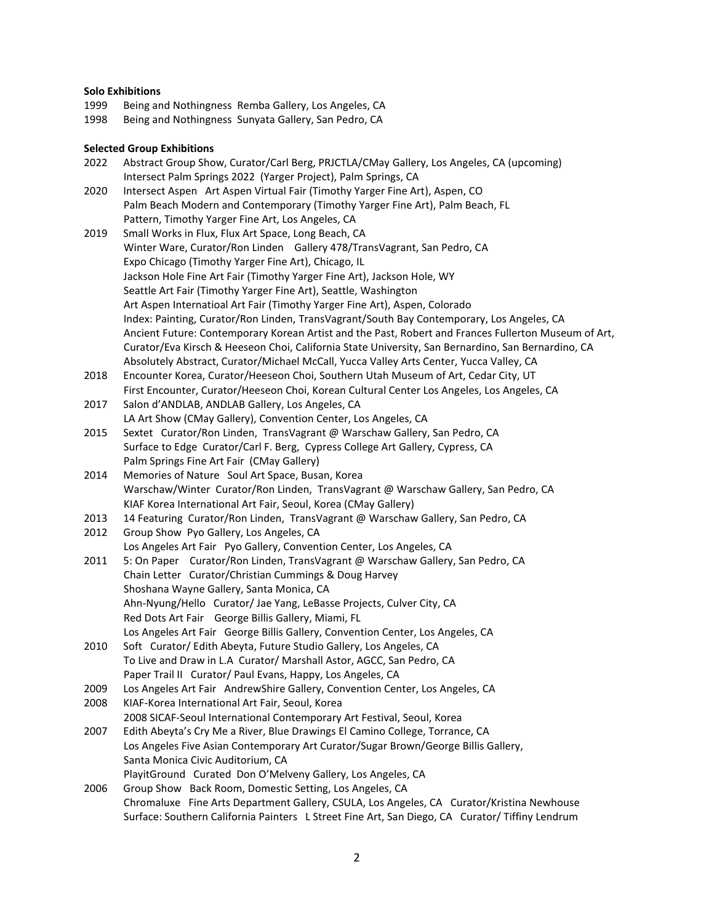# **Solo Exhibitions**<br>1999 **Being an**

- 1999 Being and Nothingness Remba Gallery, Los Angeles, CA<br>1998 Being and Nothingness Sunyata Gallery, San Pedro, CA
- Being and Nothingness Sunyata Gallery, San Pedro, CA

# **Selected Group Exhibitions**<br>2022 Abstract Group Show

| 2022 | Abstract Group Show, Curator/Carl Berg, PRJCTLA/CMay Gallery, Los Angeles, CA (upcoming)                        |
|------|-----------------------------------------------------------------------------------------------------------------|
|      | Intersect Palm Springs 2022 (Yarger Project), Palm Springs, CA                                                  |
| 2020 | Intersect Aspen Art Aspen Virtual Fair (Timothy Yarger Fine Art), Aspen, CO                                     |
|      | Palm Beach Modern and Contemporary (Timothy Yarger Fine Art), Palm Beach, FL                                    |
|      | Pattern, Timothy Yarger Fine Art, Los Angeles, CA                                                               |
| 2019 | Small Works in Flux, Flux Art Space, Long Beach, CA                                                             |
|      | Winter Ware, Curator/Ron Linden Gallery 478/TransVagrant, San Pedro, CA                                         |
|      | Expo Chicago (Timothy Yarger Fine Art), Chicago, IL                                                             |
|      | Jackson Hole Fine Art Fair (Timothy Yarger Fine Art), Jackson Hole, WY                                          |
|      | Seattle Art Fair (Timothy Yarger Fine Art), Seattle, Washington                                                 |
|      | Art Aspen Internatioal Art Fair (Timothy Yarger Fine Art), Aspen, Colorado                                      |
|      | Index: Painting, Curator/Ron Linden, TransVagrant/South Bay Contemporary, Los Angeles, CA                       |
|      | Ancient Future: Contemporary Korean Artist and the Past, Robert and Frances Fullerton Museum of Art,            |
|      | Curator/Eva Kirsch & Heeseon Choi, California State University, San Bernardino, San Bernardino, CA              |
|      | Absolutely Abstract, Curator/Michael McCall, Yucca Valley Arts Center, Yucca Valley, CA                         |
| 2018 | Encounter Korea, Curator/Heeseon Choi, Southern Utah Museum of Art, Cedar City, UT                              |
|      | First Encounter, Curator/Heeseon Choi, Korean Cultural Center Los Angeles, Los Angeles, CA                      |
| 2017 | Salon d'ANDLAB, ANDLAB Gallery, Los Angeles, CA                                                                 |
|      | LA Art Show (CMay Gallery), Convention Center, Los Angeles, CA                                                  |
| 2015 | Sextet Curator/Ron Linden, TransVagrant @ Warschaw Gallery, San Pedro, CA                                       |
|      | Surface to Edge Curator/Carl F. Berg, Cypress College Art Gallery, Cypress, CA                                  |
|      | Palm Springs Fine Art Fair (CMay Gallery)                                                                       |
| 2014 | Memories of Nature Soul Art Space, Busan, Korea                                                                 |
|      | Warschaw/Winter Curator/Ron Linden, TransVagrant @ Warschaw Gallery, San Pedro, CA                              |
|      | KIAF Korea International Art Fair, Seoul, Korea (CMay Gallery)                                                  |
| 2013 | 14 Featuring Curator/Ron Linden, TransVagrant @ Warschaw Gallery, San Pedro, CA                                 |
| 2012 | Group Show Pyo Gallery, Los Angeles, CA<br>Los Angeles Art Fair Pyo Gallery, Convention Center, Los Angeles, CA |
| 2011 | 5: On Paper Curator/Ron Linden, TransVagrant @ Warschaw Gallery, San Pedro, CA                                  |
|      | Chain Letter Curator/Christian Cummings & Doug Harvey                                                           |
|      | Shoshana Wayne Gallery, Santa Monica, CA                                                                        |
|      | Ahn-Nyung/Hello Curator/ Jae Yang, LeBasse Projects, Culver City, CA                                            |
|      | Red Dots Art Fair George Billis Gallery, Miami, FL                                                              |
|      | Los Angeles Art Fair George Billis Gallery, Convention Center, Los Angeles, CA                                  |
| 2010 | Soft Curator/ Edith Abeyta, Future Studio Gallery, Los Angeles, CA                                              |
|      | To Live and Draw in L.A Curator/ Marshall Astor, AGCC, San Pedro, CA                                            |
|      | Paper Trail II Curator/ Paul Evans, Happy, Los Angeles, CA                                                      |
| 2009 | Los Angeles Art Fair AndrewShire Gallery, Convention Center, Los Angeles, CA                                    |
| 2008 | KIAF-Korea International Art Fair, Seoul, Korea                                                                 |
|      | 2008 SICAF-Seoul International Contemporary Art Festival, Seoul, Korea                                          |
| 2007 | Edith Abeyta's Cry Me a River, Blue Drawings El Camino College, Torrance, CA                                    |
|      | Los Angeles Five Asian Contemporary Art Curator/Sugar Brown/George Billis Gallery,                              |
|      | Santa Monica Civic Auditorium, CA                                                                               |
|      | PlayitGround Curated Don O'Melveny Gallery, Los Angeles, CA                                                     |
| 2006 | Group Show Back Room, Domestic Setting, Los Angeles, CA                                                         |
|      | Chromaluxe Fine Arts Department Gallery, CSULA, Los Angeles, CA Curator/Kristina Newhouse                       |
|      | Surface: Southern California Painters L Street Fine Art, San Diego, CA Curator/ Tiffiny Lendrum                 |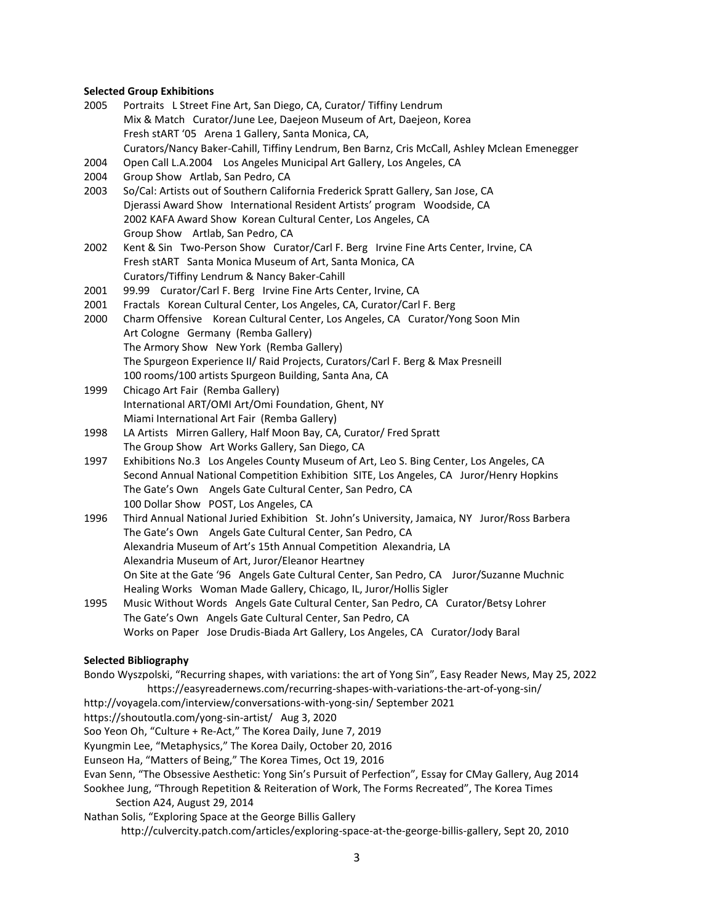#### **Selected Group Exhibitions**

- 2005 Portraits L Street Fine Art, San Diego, CA, Curator/ Tiffiny Lendrum Mix & Match Curator/June Lee, Daejeon Museum of Art, Daejeon, Korea Fresh stART '05 Arena 1 Gallery, Santa Monica, CA, Curators/Nancy Baker-Cahill, Tiffiny Lendrum, Ben Barnz, Cris McCall, Ashley Mclean Emenegger
- 2004 Open Call L.A.2004 Los Angeles Municipal Art Gallery, Los Angeles, CA
- 2004 Group Show Artlab, San Pedro, CA
- 2003 So/Cal: Artists out of Southern California Frederick Spratt Gallery, San Jose, CA Djerassi Award Show International Resident Artists' program Woodside, CA 2002 KAFA Award Show Korean Cultural Center, Los Angeles, CA Group Show Artlab, San Pedro, CA
- 2002 Kent & Sin Two-Person Show Curator/Carl F. Berg Irvine Fine Arts Center, Irvine, CA Fresh stART Santa Monica Museum of Art, Santa Monica, CA Curators/Tiffiny Lendrum & Nancy Baker-Cahill
- 2001 99.99 Curator/Carl F. Berg Irvine Fine Arts Center, Irvine, CA
- 2001 Fractals Korean Cultural Center, Los Angeles, CA, Curator/Carl F. Berg
- 2000 Charm Offensive Korean Cultural Center, Los Angeles, CA Curator/Yong Soon Min Art Cologne Germany (Remba Gallery) The Armory Show New York (Remba Gallery) The Spurgeon Experience II/ Raid Projects, Curators/Carl F. Berg & Max Presneill 100 rooms/100 artists Spurgeon Building, Santa Ana, CA
- 1999 Chicago Art Fair (Remba Gallery) International ART/OMI Art/Omi Foundation, Ghent, NY Miami International Art Fair (Remba Gallery)
- 1998 LA Artists Mirren Gallery, Half Moon Bay, CA, Curator/ Fred Spratt The Group Show Art Works Gallery, San Diego, CA
- 1997 Exhibitions No.3 Los Angeles County Museum of Art, Leo S. Bing Center, Los Angeles, CA Second Annual National Competition Exhibition SITE, Los Angeles, CA Juror/Henry Hopkins The Gate's Own Angels Gate Cultural Center, San Pedro, CA 100 Dollar Show POST, Los Angeles, CA
- 1996 Third Annual National Juried Exhibition St. John's University, Jamaica, NY Juror/Ross Barbera The Gate's Own Angels Gate Cultural Center, San Pedro, CA Alexandria Museum of Art's 15th Annual Competition Alexandria, LA Alexandria Museum of Art, Juror/Eleanor Heartney On Site at the Gate '96 Angels Gate Cultural Center, San Pedro, CA Juror/Suzanne Muchnic Healing Works Woman Made Gallery, Chicago, IL, Juror/Hollis Sigler
- 1995 Music Without Words Angels Gate Cultural Center, San Pedro, CA Curator/Betsy Lohrer The Gate's Own Angels Gate Cultural Center, San Pedro, CA Works on Paper Jose Drudis-Biada Art Gallery, Los Angeles, CA Curator/Jody Baral

#### **Selected Bibliography**

Bondo Wyszpolski, "Recurring shapes, with variations: the art of Yong Sin", Easy Reader News, May 25, 2022 https://easyreadernews.com/recurring-shapes-with-variations-the-art-of-yong-sin/

- <http://voyagela.com/interview/conversations-with-yong-sin/> September 2021
- <https://shoutoutla.com/yong-sin-artist/>Aug 3, 2020

Soo Yeon Oh, "Culture + Re-Act," The Korea Daily, June 7, 2019

Kyungmin Lee, "Metaphysics," The Korea Daily, October 20, 2016

Eunseon Ha, "Matters of Being," The Korea Times, Oct 19, 2016

Evan Senn, "The Obsessive Aesthetic: Yong Sin's Pursuit of Perfection", Essay for CMay Gallery, Aug 2014

Sookhee Jung, "Through Repetition & Reiteration of Work, The Forms Recreated", The Korea Times Section A24, August 29, 2014

Nathan Solis, "Exploring Space at the George Billis Gallery

http://culvercity.patch.com/articles/exploring-space-at-the-george-billis-gallery, Sept 20, 2010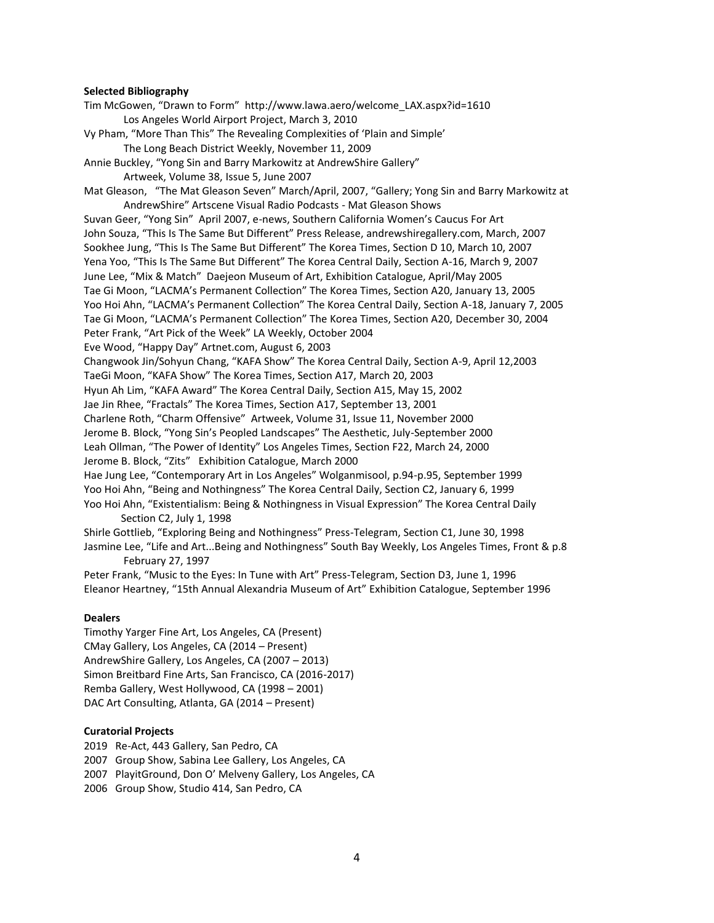#### **Selected Bibliography**

Tim McGowen, "Drawn to Form" http://www.lawa.aero/welcome\_LAX.aspx?id=1610 Los Angeles World Airport Project, March 3, 2010 Vy Pham, "More Than This" The Revealing Complexities of 'Plain and Simple' The Long Beach District Weekly, November 11, 2009 Annie Buckley, "Yong Sin and Barry Markowitz at AndrewShire Gallery" Artweek, Volume 38, Issue 5, June 2007 Mat Gleason, "The Mat Gleason Seven" March/April, 2007, "Gallery; Yong Sin and Barry Markowitz at AndrewShire" Artscene Visual Radio Podcasts - Mat Gleason Shows Suvan Geer, "Yong Sin" April 2007, e-news, Southern California Women's Caucus For Art John Souza, "This Is The Same But Different" Press Release, andrewshiregallery.com, March, 2007 Sookhee Jung, "This Is The Same But Different" The Korea Times, Section D 10, March 10, 2007 Yena Yoo, "This Is The Same But Different" The Korea Central Daily, Section A-16, March 9, 2007 June Lee, "Mix & Match" Daejeon Museum of Art, Exhibition Catalogue, April/May 2005 Tae Gi Moon, "LACMA's Permanent Collection" The Korea Times, Section A20, January 13, 2005 Yoo Hoi Ahn, "LACMA's Permanent Collection" The Korea Central Daily, Section A-18, January 7, 2005 Tae Gi Moon, "LACMA's Permanent Collection" The Korea Times, Section A20, December 30, 2004 Peter Frank, "Art Pick of the Week" LA Weekly, October 2004 Eve Wood, "Happy Day" Artnet.com, August 6, 2003 Changwook Jin/Sohyun Chang, "KAFA Show" The Korea Central Daily, Section A-9, April 12,2003 TaeGi Moon, "KAFA Show" The Korea Times, Section A17, March 20, 2003 Hyun Ah Lim, "KAFA Award" The Korea Central Daily, Section A15, May 15, 2002 Jae Jin Rhee, "Fractals" The Korea Times, Section A17, September 13, 2001 Charlene Roth, "Charm Offensive" Artweek, Volume 31, Issue 11, November 2000 Jerome B. Block, "Yong Sin's Peopled Landscapes" The Aesthetic, July-September 2000 Leah Ollman, "The Power of Identity" Los Angeles Times, Section F22, March 24, 2000 Jerome B. Block, "Zits" Exhibition Catalogue, March 2000 Hae Jung Lee, "Contemporary Art in Los Angeles" Wolganmisool, p.94-p.95, September 1999 Yoo Hoi Ahn, "Being and Nothingness" The Korea Central Daily, Section C2, January 6, 1999 Yoo Hoi Ahn, "Existentialism: Being & Nothingness in Visual Expression" The Korea Central Daily Section C2, July 1, 1998 Shirle Gottlieb, "Exploring Being and Nothingness" Press-Telegram, Section C1, June 30, 1998 Jasmine Lee, "Life and Art...Being and Nothingness" South Bay Weekly, Los Angeles Times, Front & p.8 February 27, 1997

Peter Frank, "Music to the Eyes: In Tune with Art" Press-Telegram, Section D3, June 1, 1996 Eleanor Heartney, "15th Annual Alexandria Museum of Art" Exhibition Catalogue, September 1996

#### **Dealers**

Timothy Yarger Fine Art, Los Angeles, CA (Present) CMay Gallery, Los Angeles, CA (2014 – Present) AndrewShire Gallery, Los Angeles, CA (2007 – 2013) Simon Breitbard Fine Arts, San Francisco, CA (2016-2017) Remba Gallery, West Hollywood, CA (1998 – 2001) DAC Art Consulting, Atlanta, GA (2014 – Present)

# **Curatorial Projects**

2019 Re-Act, 443 Gallery, San Pedro, CA

2007 Group Show, Sabina Lee Gallery, Los Angeles, CA

2007 PlayitGround, Don O' Melveny Gallery, Los Angeles, CA

2006 Group Show, Studio 414, San Pedro, CA